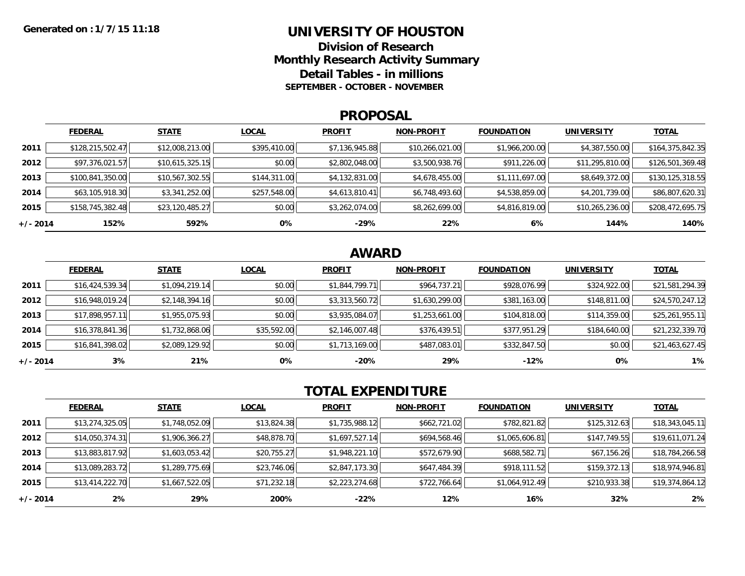### **UNIVERSITY OF HOUSTON**

**Division of ResearchMonthly Research Activity Summary Detail Tables - in millions SEPTEMBER - OCTOBER - NOVEMBER**

#### **PROPOSAL**

|            | <b>FEDERAL</b>   | <b>STATE</b>    | <b>LOCAL</b> | <b>PROFIT</b>  | <b>NON-PROFIT</b> | <b>FOUNDATION</b> | <b>UNIVERSITY</b> | <u>TOTAL</u>     |
|------------|------------------|-----------------|--------------|----------------|-------------------|-------------------|-------------------|------------------|
| 2011       | \$128,215,502.47 | \$12,008,213.00 | \$395,410.00 | \$7,136,945.88 | \$10,266,021.00   | \$1,966,200.00    | \$4,387,550.00    | \$164,375,842.35 |
| 2012       | \$97,376,021.57  | \$10,615,325.15 | \$0.00       | \$2,802,048.00 | \$3,500,938.76    | \$911,226.00      | \$11,295,810.00   | \$126,501,369.48 |
| 2013       | \$100,841,350.00 | \$10,567,302.55 | \$144,311.00 | \$4,132,831.00 | \$4,678,455.00    | \$1,111,697.00    | \$8,649,372.00    | \$130,125,318.55 |
| 2014       | \$63,105,918.30  | \$3,341,252.00  | \$257,548.00 | \$4,613,810.41 | \$6,748,493.60    | \$4,538,859.00    | \$4,201,739.00    | \$86,807,620.31  |
| 2015       | \$158,745,382.48 | \$23,120,485.27 | \$0.00       | \$3,262,074.00 | \$8,262,699.00    | \$4,816,819.00    | \$10,265,236.00   | \$208,472,695.75 |
| $+/- 2014$ | 152%             | 592%            | 0%           | $-29%$         | 22%               | 6%                | 144%              | 140%             |

## **AWARD**

|          | <b>FEDERAL</b>  | <b>STATE</b>   | <b>LOCAL</b> | <b>PROFIT</b>  | <b>NON-PROFIT</b> | <b>FOUNDATION</b> | <b>UNIVERSITY</b> | <b>TOTAL</b>    |
|----------|-----------------|----------------|--------------|----------------|-------------------|-------------------|-------------------|-----------------|
| 2011     | \$16,424,539.34 | \$1,094,219.14 | \$0.00       | \$1,844,799.71 | \$964,737.21      | \$928,076.99      | \$324,922.00      | \$21,581,294.39 |
| 2012     | \$16,948,019.24 | \$2,148,394.16 | \$0.00       | \$3,313,560.72 | \$1,630,299.00    | \$381,163.00      | \$148,811.00      | \$24,570,247.12 |
| 2013     | \$17,898,957.11 | \$1,955,075.93 | \$0.00       | \$3,935,084.07 | \$1,253,661.00    | \$104,818.00      | \$114,359.00      | \$25,261,955.11 |
| 2014     | \$16,378,841.36 | \$1,732,868.06 | \$35,592.00  | \$2,146,007.48 | \$376,439.51      | \$377,951.29      | \$184,640.00      | \$21,232,339.70 |
| 2015     | \$16,841,398.02 | \$2,089,129.92 | \$0.00       | \$1,713,169.00 | \$487,083.01      | \$332,847.50      | \$0.00            | \$21,463,627.45 |
| +/- 2014 | 3%              | 21%            | 0%           | $-20%$         | 29%               | $-12%$            | 0%                | 1%              |

# **TOTAL EXPENDITURE**

|          | <b>FEDERAL</b>  | <b>STATE</b>   | <b>LOCAL</b> | <b>PROFIT</b>  | <b>NON-PROFIT</b> | <b>FOUNDATION</b> | <b>UNIVERSITY</b> | <b>TOTAL</b>    |
|----------|-----------------|----------------|--------------|----------------|-------------------|-------------------|-------------------|-----------------|
| 2011     | \$13,274,325.05 | \$1,748,052.09 | \$13,824.38  | \$1,735,988.12 | \$662,721.02      | \$782,821.82      | \$125,312.63      | \$18,343,045.11 |
| 2012     | \$14,050,374.31 | \$1,906,366.27 | \$48,878.70  | \$1,697,527.14 | \$694,568.46      | \$1,065,606.81    | \$147,749.55      | \$19,611,071.24 |
| 2013     | \$13,883,817.92 | \$1,603,053.42 | \$20,755.27  | \$1,948,221.10 | \$572,679.90      | \$688,582.71      | \$67,156.26       | \$18,784,266.58 |
| 2014     | \$13,089,283.72 | \$1,289,775.69 | \$23,746.06  | \$2,847,173.30 | \$647,484.39      | \$918,111.52      | \$159,372.13      | \$18,974,946.81 |
| 2015     | \$13,414,222.70 | \$1,667,522.05 | \$71,232.18  | \$2,223,274.68 | \$722,766.64      | \$1,064,912.49    | \$210,933.38      | \$19,374,864.12 |
| +/- 2014 | 2%              | 29%            | 200%         | -22%           | 12%               | 16%               | 32%               | 2%              |